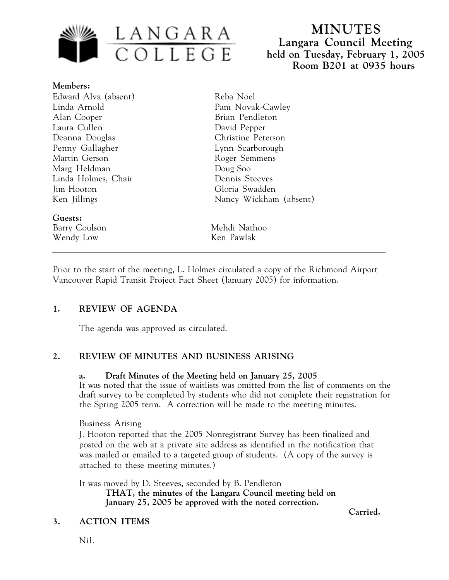

**Members:** Edward Alva (absent) Linda Arnold Alan Cooper Laura Cullen Deanna Douglas Penny Gallagher Martin Gerson Marg Heldman Linda Holmes, Chair Jim Hooton Ken Jillings

**Guests:**

Reba Noel Pam Novak-Cawley Brian Pendleton David Pepper Christine Peterson Lynn Scarborough Roger Semmens Doug Soo Dennis Steeves Gloria Swadden Nancy Wickham (absent)

Barry Coulson Mehdi Nathoo Wendy Low Ken Pawlak

Prior to the start of the meeting, L. Holmes circulated a copy of the Richmond Airport Vancouver Rapid Transit Project Fact Sheet (January 2005) for information.

# **1. REVIEW OF AGENDA**

The agenda was approved as circulated.

### **2. REVIEW OF MINUTES AND BUSINESS ARISING**

#### **a. Draft Minutes of the Meeting held on January 25, 2005**

It was noted that the issue of waitlists was omitted from the list of comments on the draft survey to be completed by students who did not complete their registration for the Spring 2005 term. A correction will be made to the meeting minutes.

#### Business Arising

J. Hooton reported that the 2005 Nonregistrant Survey has been finalized and posted on the web at a private site address as identified in the notification that was mailed or emailed to a targeted group of students. (A copy of the survey is attached to these meeting minutes.)

It was moved by D. Steeves, seconded by B. Pendleton **THAT, the minutes of the Langara Council meeting held on January 25, 2005 be approved with the noted correction.**

**Carried.**

### **3. ACTION ITEMS**

Nil.